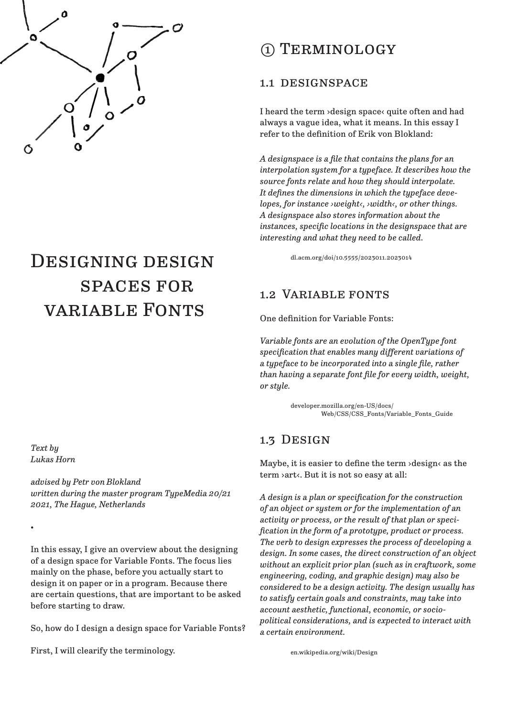

# DESIGNING DESIGN spaces for variable Fonts

# ① Terminology

#### 1.1 designspace

I heard the term ›design space‹ quite often and had always a vague idea, what it means. In this essay I refer to the definition of Erik von Blokland:

*A designspace is a file that contains the plans for an interpolation system for a typeface. It describes how the source fonts relate and how they should interpolate. It defines the dimensions in which the typeface developes, for instance ›weight‹, ›width‹, or other things. A designspace also stores information about the instances, specific locations in the designspace that are interesting and what they need to be called.*

dl.acm.org/doi/10.5555/2023011.2023014

#### 1.2 Variable fonts

One definition for Variable Fonts:

*Variable fonts are an evolution of the OpenType font specification that enables many different variations of a typeface to be incorporated into a single file, rather than having a separate font file for every width, weight, or style.*

> developer.mozilla.org/en-US/docs/ Web/CSS/CSS\_Fonts/Variable\_Fonts\_Guide

### 1.3 Design

Maybe, it is easier to define the term  $\lambda$ design $\lambda$  as the term ›art‹. But it is not so easy at all:

*A design is a plan or specification for the construction of an object or system or for the implementation of an activity or process, or the result of that plan or specification in the form of a prototype, product or process. The verb to design expresses the process of developing a design. In some cases, the direct construction of an object without an explicit prior plan (such as in craftwork, some engineering, coding, and graphic design) may also be considered to be a design activity. The design usually has to satisfy certain goals and constraints, may take into account aesthetic, functional, economic, or sociopolitical considerations, and is expected to interact with a certain environment.*

*Text by Lukas Horn*

•

*advised by Petr von Blokland written during the master program TypeMedia 20/21 2021, The Hague, Netherlands*

In this essay, I give an overview about the designing of a design space for Variable Fonts. The focus lies mainly on the phase, before you actually start to design it on paper or in a program. Because there are certain questions, that are important to be asked before starting to draw.

So, how do I design a design space for Variable Fonts?

First, I will clearify the terminology.

en.wikipedia.org/wiki/Design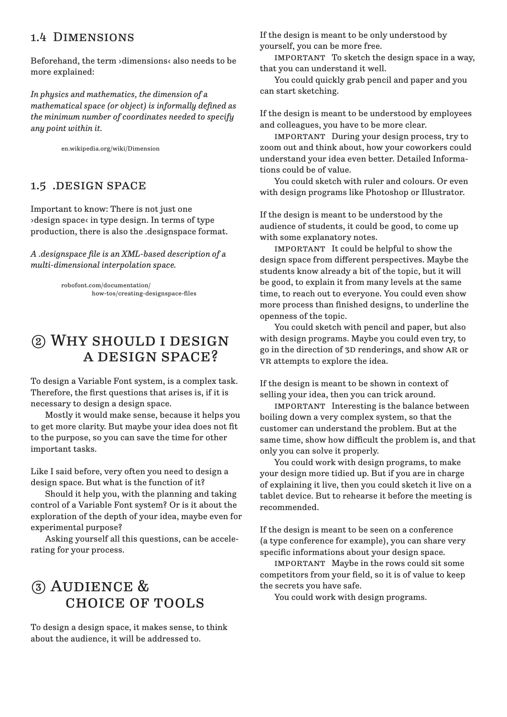#### 1.4 Dimensions

Beforehand, the term ›dimensions‹ also needs to be more explained:

*In physics and mathematics, the dimension of a mathematical space (or object) is informally defined as the minimum number of coordinates needed to specify any point within it.*

en.wikipedia.org/wiki/Dimension

#### 1.5 .DESIGN SPACE

Important to know: There is not just one ›design space‹ in type design. In terms of type production, there is also the .designspace format.

*A .designspace file is an XML-based description of a multi-dimensional interpolation space.*

> robofont.com/documentation/ how-tos/creating-designspace-files

# ② Why should i design a design space?

To design a Variable Font system, is a complex task. Therefore, the first questions that arises is, if it is necessary to design a design space.

 Mostly it would make sense, because it helps you to get more clarity. But maybe your idea does not fit to the purpose, so you can save the time for other important tasks.

Like I said before, very often you need to design a design space. But what is the function of it?

 Should it help you, with the planning and taking control of a Variable Font system? Or is it about the exploration of the depth of your idea, maybe even for experimental purpose?

 Asking yourself all this questions, can be accelerating for your process.

# ③ Audience & choice of tools

To design a design space, it makes sense, to think about the audience, it will be addressed to.

If the design is meant to be only understood by yourself, you can be more free.

 important To sketch the design space in a way, that you can understand it well.

 You could quickly grab pencil and paper and you can start sketching.

If the design is meant to be understood by employees and colleagues, you have to be more clear.

 important During your design process, try to zoom out and think about, how your coworkers could understand your idea even better. Detailed Informations could be of value.

 You could sketch with ruler and colours. Or even with design programs like Photoshop or Illustrator.

If the design is meant to be understood by the audience of students, it could be good, to come up with some explanatory notes.

IMPORTANT It could be helpful to show the design space from different perspectives. Maybe the students know already a bit of the topic, but it will be good, to explain it from many levels at the same time, to reach out to everyone. You could even show more process than finished designs, to underline the openness of the topic.

 You could sketch with pencil and paper, but also with design programs. Maybe you could even try, to go in the direction of 3d renderings, and show ar or vR attempts to explore the idea.

If the design is meant to be shown in context of selling your idea, then you can trick around.

 important Interesting is the balance between boiling down a very complex system, so that the customer can understand the problem. But at the same time, show how difficult the problem is, and that only you can solve it properly.

 You could work with design programs, to make your design more tidied up. But if you are in charge of explaining it live, then you could sketch it live on a tablet device. But to rehearse it before the meeting is recommended.

If the design is meant to be seen on a conference (a type conference for example), you can share very specific informations about your design space.

 important Maybe in the rows could sit some competitors from your field, so it is of value to keep the secrets you have safe.

You could work with design programs.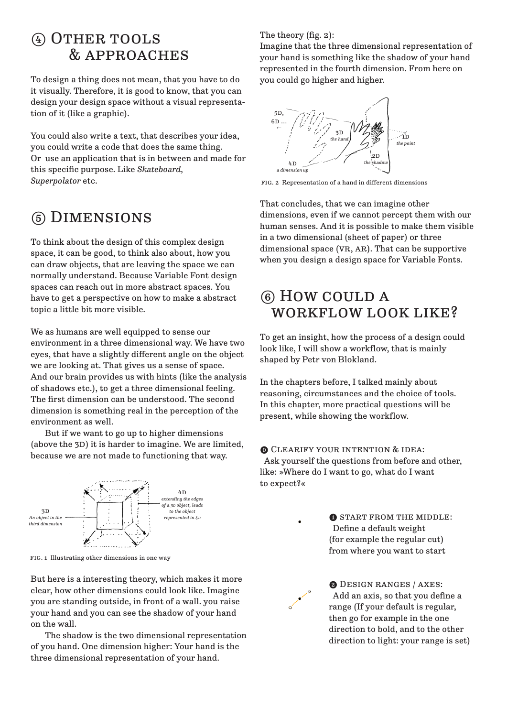### ④ Other tools & approaches

To design a thing does not mean, that you have to do it visually. Therefore, it is good to know, that you can design your design space without a visual representation of it (like a graphic).

You could also write a text, that describes your idea, you could write a code that does the same thing. Or use an application that is in between and made for this specific purpose. Like *Skateboard, Superpolator* etc.

# ⑤ Dimensions

To think about the design of this complex design space, it can be good, to think also about, how you can draw objects, that are leaving the space we can normally understand. Because Variable Font design spaces can reach out in more abstract spaces. You have to get a perspective on how to make a abstract topic a little bit more visible.

We as humans are well equipped to sense our environment in a three dimensional way. We have two eyes, that have a slightly different angle on the object we are looking at. That gives us a sense of space. And our brain provides us with hints (like the analysis of shadows etc.), to get a three dimensional feeling. The first dimension can be understood. The second dimension is something real in the perception of the environment as well.

 But if we want to go up to higher dimensions (above the 3D) it is harder to imagine. We are limited, because we are not made to functioning that way.



fig. 1 Illustrating other dimensions in one way

But here is a interesting theory, which makes it more clear, how other dimensions could look like. Imagine you are standing outside, in front of a wall. you raise your hand and you can see the shadow of your hand on the wall.

 The shadow is the two dimensional representation of you hand. One dimension higher: Your hand is the three dimensional representation of your hand.

#### The theory (fig. 2):

Imagine that the three dimensional representation of your hand is something like the shadow of your hand represented in the fourth dimension. From here on you could go higher and higher.



fig. 2 Representation of a hand in different dimensions

That concludes, that we can imagine other dimensions, even if we cannot percept them with our human senses. And it is possible to make them visible in a two dimensional (sheet of paper) or three dimensional space  $(VR, AR)$ . That can be supportive when you design a design space for Variable Fonts.

# ⑥ How could a WORKFLOW LOOK LIKE?

To get an insight, how the process of a design could look like, I will show a workflow, that is mainly shaped by Petr von Blokland.

In the chapters before, I talked mainly about reasoning, circumstances and the choice of tools. In this chapter, more practical questions will be present, while showing the workflow.

⓿ Clearify your intention & idea: Ask yourself the questions from before and other, like: »Where do I want to go, what do I want to expect?«



**O START FROM THE MIDDLE:**  Define a default weight (for example the regular cut) from where you want to start



❷ Design ranges / axes: Add an axis, so that you define a range (If your default is regular, then go for example in the one direction to bold, and to the other direction to light: your range is set)